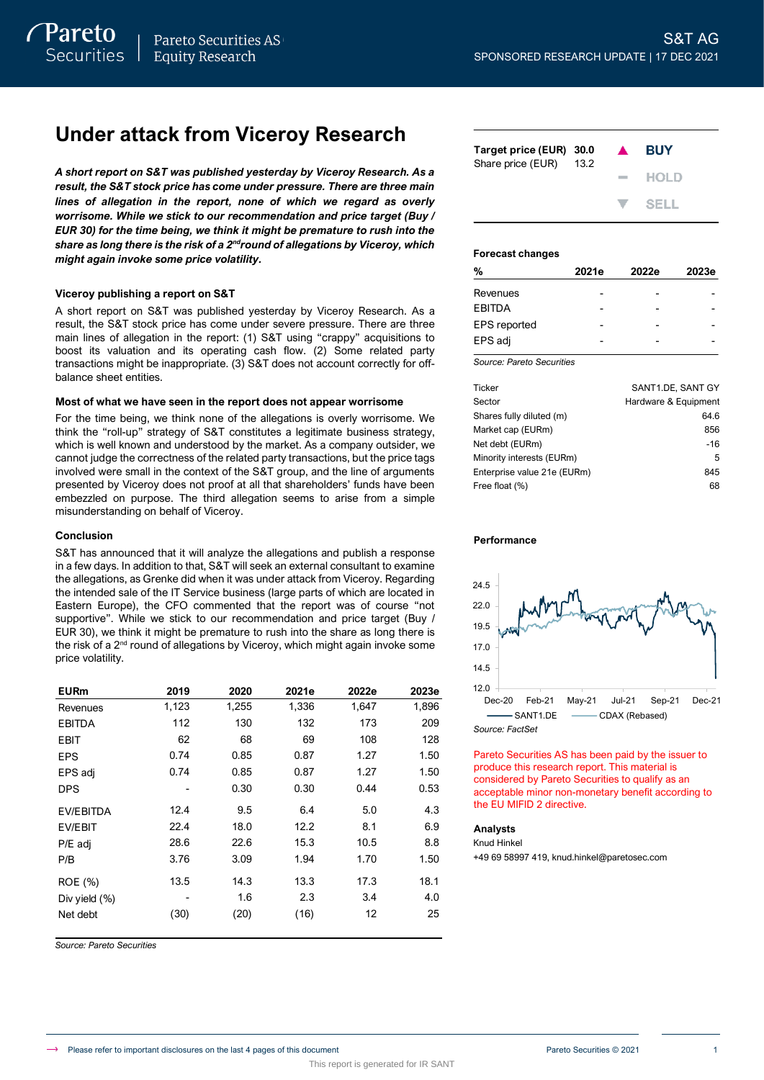# **Under attack from Viceroy Research**

*A short report on S&T was published yesterday by Viceroy Research. As a result, the S&T stock price has come under pressure. There are three main lines of allegation in the report, none of which we regard as overly worrisome. While we stick to our recommendation and price target (Buy / EUR 30) for the time being, we think it might be premature to rush into the share as long there is the risk of a 2ndround of allegations by Viceroy, which might again invoke some price volatility.*

## **Viceroy publishing a report on S&T**

A short report on S&T was published yesterday by Viceroy Research. As a result, the S&T stock price has come under severe pressure. There are three main lines of allegation in the report: (1) S&T using "crappy" acquisitions to boost its valuation and its operating cash flow. (2) Some related party transactions might be inappropriate. (3) S&T does not account correctly for offbalance sheet entities.

## **Most of what we have seen in the report does not appear worrisome**

For the time being, we think none of the allegations is overly worrisome. We think the "roll-up" strategy of S&T constitutes a legitimate business strategy, which is well known and understood by the market. As a company outsider, we cannot judge the correctness of the related party transactions, but the price tags involved were small in the context of the S&T group, and the line of arguments presented by Viceroy does not proof at all that shareholders' funds have been embezzled on purpose. The third allegation seems to arise from a simple misunderstanding on behalf of Viceroy.

## **Conclusion**

S&T has announced that it will analyze the allegations and publish a response in a few days. In addition to that, S&T will seek an external consultant to examine the allegations, as Grenke did when it was under attack from Viceroy. Regarding the intended sale of the IT Service business (large parts of which are located in Eastern Europe), the CFO commented that the report was of course "not supportive". While we stick to our recommendation and price target (Buy / EUR 30), we think it might be premature to rush into the share as long there is the risk of a 2<sup>nd</sup> round of allegations by Viceroy, which might again invoke some price volatility.

| <b>EURm</b>      | 2019  | 2020  | 2021e | 2022e | 2023e |
|------------------|-------|-------|-------|-------|-------|
| Revenues         | 1,123 | 1,255 | 1,336 | 1,647 | 1,896 |
| <b>EBITDA</b>    | 112   | 130   | 132   | 173   | 209   |
| EBIT             | 62    | 68    | 69    | 108   | 128   |
| EPS              | 0.74  | 0.85  | 0.87  | 1.27  | 1.50  |
| EPS adj          | 0.74  | 0.85  | 0.87  | 1.27  | 1.50  |
| <b>DPS</b>       |       | 0.30  | 0.30  | 0.44  | 0.53  |
| EV/EBITDA        | 12.4  | 9.5   | 6.4   | 5.0   | 4.3   |
| EV/EBIT          | 22.4  | 18.0  | 12.2  | 8.1   | 6.9   |
| P/E adj          | 28.6  | 22.6  | 15.3  | 10.5  | 8.8   |
| P/B              | 3.76  | 3.09  | 1.94  | 1.70  | 1.50  |
| ROE (%)          | 13.5  | 14.3  | 13.3  | 17.3  | 18.1  |
| Div yield $(\%)$ |       | 1.6   | 2.3   | 3.4   | 4.0   |
| Net debt         | (30)  | (20)  | (16)  | 12    | 25    |

*Source: Pareto Securities*

| Target price (EUR) 30.0<br>Share price (EUR) | - 13.2 | $\blacktriangle$ | <b>BUY</b> |
|----------------------------------------------|--------|------------------|------------|
|                                              |        |                  | $-$ HOLD   |
|                                              |        |                  | V SELL     |

## **Forecast changes**

| %                   | 2021e | 2022e | 2023e |
|---------------------|-------|-------|-------|
| Revenues            |       |       |       |
| <b>EBITDA</b>       |       |       |       |
| <b>EPS</b> reported |       |       |       |
| EPS adj             |       |       |       |

*Source: Pareto Securities*

| Ticker                      | SANT1.DE. SANT GY    |
|-----------------------------|----------------------|
| Sector                      | Hardware & Equipment |
| Shares fully diluted (m)    | 64.6                 |
| Market cap (EURm)           | 856                  |
| Net debt (EURm)             | $-16$                |
| Minority interests (EURm)   | 5                    |
| Enterprise value 21e (EURm) | 845                  |
| Free float (%)              | 68                   |

## **Performance**



Pareto Securities AS has been paid by the issuer to produce this research report. This material is considered by Pareto Securities to qualify as an acceptable minor non-monetary benefit according to the EU MIFID 2 directive.

### **Analysts**

Knud Hinkel

+49 69 58997 419, knud.hinkel@paretosec.com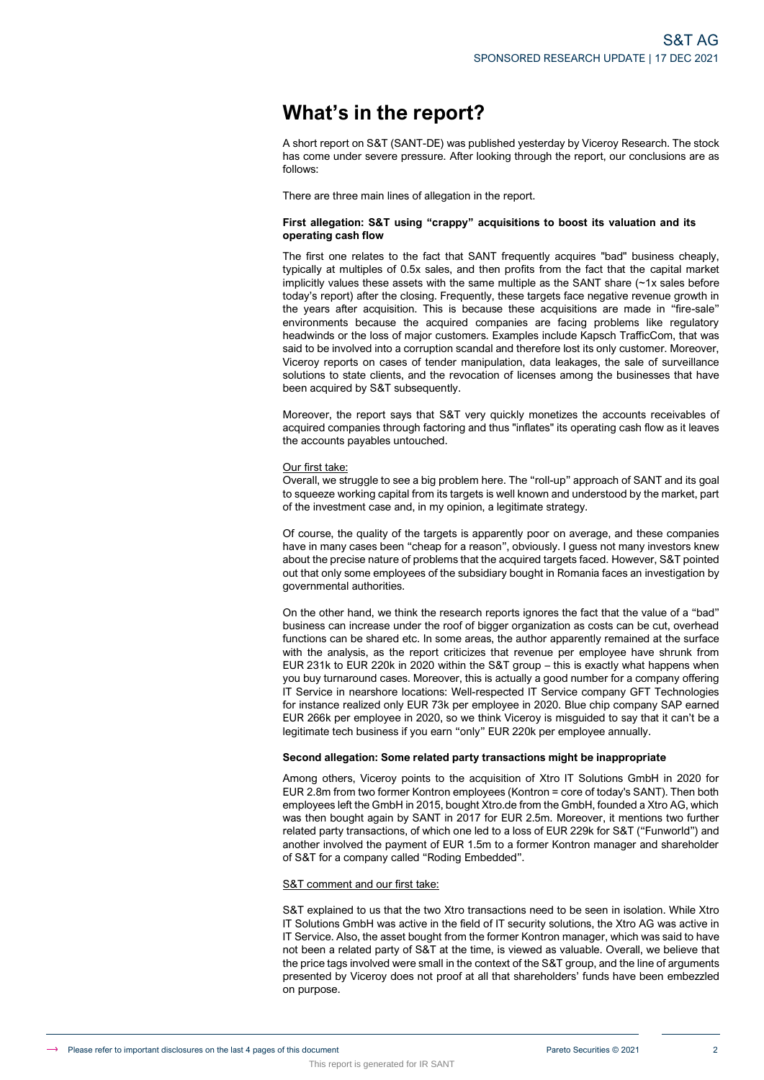# **What's in the report?**

A short report on S&T (SANT-DE) was published yesterday by Viceroy Research. The stock has come under severe pressure. After looking through the report, our conclusions are as follows:

There are three main lines of allegation in the report.

## **First allegation: S&T using "crappy" acquisitions to boost its valuation and its operating cash flow**

The first one relates to the fact that SANT frequently acquires "bad" business cheaply, typically at multiples of 0.5x sales, and then profits from the fact that the capital market implicitly values these assets with the same multiple as the SANT share  $(-1x)$  sales before today's report) after the closing. Frequently, these targets face negative revenue growth in the years after acquisition. This is because these acquisitions are made in "fire-sale" environments because the acquired companies are facing problems like regulatory headwinds or the loss of major customers. Examples include Kapsch TrafficCom, that was said to be involved into a corruption scandal and therefore lost its only customer. Moreover, Viceroy reports on cases of tender manipulation, data leakages, the sale of surveillance solutions to state clients, and the revocation of licenses among the businesses that have been acquired by S&T subsequently.

Moreover, the report says that S&T very quickly monetizes the accounts receivables of acquired companies through factoring and thus "inflates" its operating cash flow as it leaves the accounts payables untouched.

### Our first take:

Overall, we struggle to see a big problem here. The "roll-up" approach of SANT and its goal to squeeze working capital from its targets is well known and understood by the market, part of the investment case and, in my opinion, a legitimate strategy.

Of course, the quality of the targets is apparently poor on average, and these companies have in many cases been "cheap for a reason", obviously. I guess not many investors knew about the precise nature of problems that the acquired targets faced. However, S&T pointed out that only some employees of the subsidiary bought in Romania faces an investigation by governmental authorities.

On the other hand, we think the research reports ignores the fact that the value of a "bad" business can increase under the roof of bigger organization as costs can be cut, overhead functions can be shared etc. In some areas, the author apparently remained at the surface with the analysis, as the report criticizes that revenue per employee have shrunk from EUR 231k to EUR 220k in 2020 within the S&T group – this is exactly what happens when you buy turnaround cases. Moreover, this is actually a good number for a company offering IT Service in nearshore locations: Well-respected IT Service company GFT Technologies for instance realized only EUR 73k per employee in 2020. Blue chip company SAP earned EUR 266k per employee in 2020, so we think Viceroy is misguided to say that it can't be a legitimate tech business if you earn "only" EUR 220k per employee annually.

## **Second allegation: Some related party transactions might be inappropriate**

Among others, Viceroy points to the acquisition of Xtro IT Solutions GmbH in 2020 for EUR 2.8m from two former Kontron employees (Kontron = core of today's SANT). Then both employees left the GmbH in 2015, bought Xtro.de from the GmbH, founded a Xtro AG, which was then bought again by SANT in 2017 for EUR 2.5m. Moreover, it mentions two further related party transactions, of which one led to a loss of EUR 229k for S&T ("Funworld") and another involved the payment of EUR 1.5m to a former Kontron manager and shareholder of S&T for a company called "Roding Embedded".

### S&T comment and our first take:

S&T explained to us that the two Xtro transactions need to be seen in isolation. While Xtro IT Solutions GmbH was active in the field of IT security solutions, the Xtro AG was active in IT Service. Also, the asset bought from the former Kontron manager, which was said to have not been a related party of S&T at the time, is viewed as valuable. Overall, we believe that the price tags involved were small in the context of the S&T group, and the line of arguments presented by Viceroy does not proof at all that shareholders' funds have been embezzled on purpose.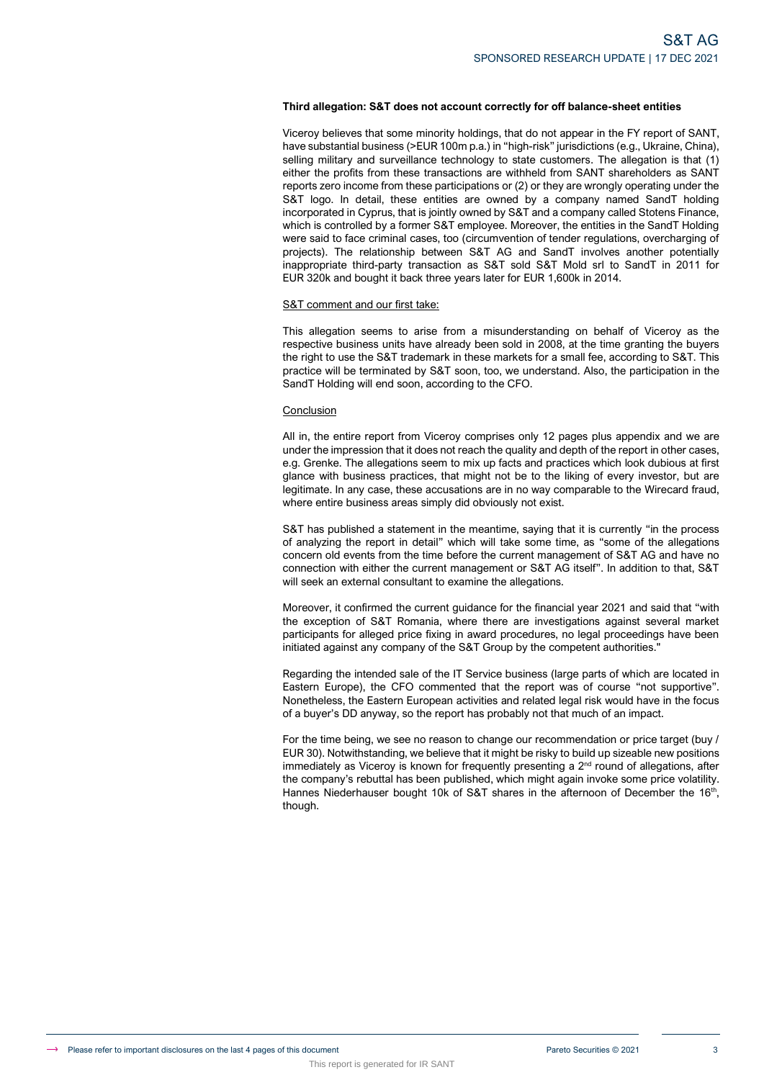## **Third allegation: S&T does not account correctly for off balance-sheet entities**

Viceroy believes that some minority holdings, that do not appear in the FY report of SANT, have substantial business (>EUR 100m p.a.) in "high-risk" jurisdictions (e.g., Ukraine, China), selling military and surveillance technology to state customers. The allegation is that (1) either the profits from these transactions are withheld from SANT shareholders as SANT reports zero income from these participations or (2) or they are wrongly operating under the S&T logo. In detail, these entities are owned by a company named SandT holding incorporated in Cyprus, that is jointly owned by S&T and a company called Stotens Finance, which is controlled by a former S&T employee. Moreover, the entities in the SandT Holding were said to face criminal cases, too (circumvention of tender regulations, overcharging of projects). The relationship between S&T AG and SandT involves another potentially inappropriate third-party transaction as S&T sold S&T Mold srl to SandT in 2011 for EUR 320k and bought it back three years later for EUR 1,600k in 2014.

### S&T comment and our first take:

This report is generated for IR SANT

This allegation seems to arise from a misunderstanding on behalf of Viceroy as the respective business units have already been sold in 2008, at the time granting the buyers the right to use the S&T trademark in these markets for a small fee, according to S&T. This practice will be terminated by S&T soon, too, we understand. Also, the participation in the SandT Holding will end soon, according to the CFO.

### Conclusion

All in, the entire report from Viceroy comprises only 12 pages plus appendix and we are under the impression that it does not reach the quality and depth of the report in other cases, e.g. Grenke. The allegations seem to mix up facts and practices which look dubious at first glance with business practices, that might not be to the liking of every investor, but are legitimate. In any case, these accusations are in no way comparable to the Wirecard fraud, where entire business areas simply did obviously not exist.

S&T has published a statement in the meantime, saying that it is currently "in the process of analyzing the report in detail" which will take some time, as "some of the allegations concern old events from the time before the current management of S&T AG and have no connection with either the current management or S&T AG itself". In addition to that, S&T will seek an external consultant to examine the allegations.

Moreover, it confirmed the current guidance for the financial year 2021 and said that "with the exception of S&T Romania, where there are investigations against several market participants for alleged price fixing in award procedures, no legal proceedings have been initiated against any company of the S&T Group by the competent authorities.

Regarding the intended sale of the IT Service business (large parts of which are located in Eastern Europe), the CFO commented that the report was of course "not supportive". Nonetheless, the Eastern European activities and related legal risk would have in the focus of a buyer's DD anyway, so the report has probably not that much of an impact.

For the time being, we see no reason to change our recommendation or price target (buy / EUR 30). Notwithstanding, we believe that it might be risky to build up sizeable new positions immediately as Viceroy is known for frequently presenting a  $2<sup>nd</sup>$  round of allegations, after the company's rebuttal has been published, which might again invoke some price volatility. Hannes Niederhauser bought 10k of S&T shares in the afternoon of December the  $16<sup>th</sup>$ , though.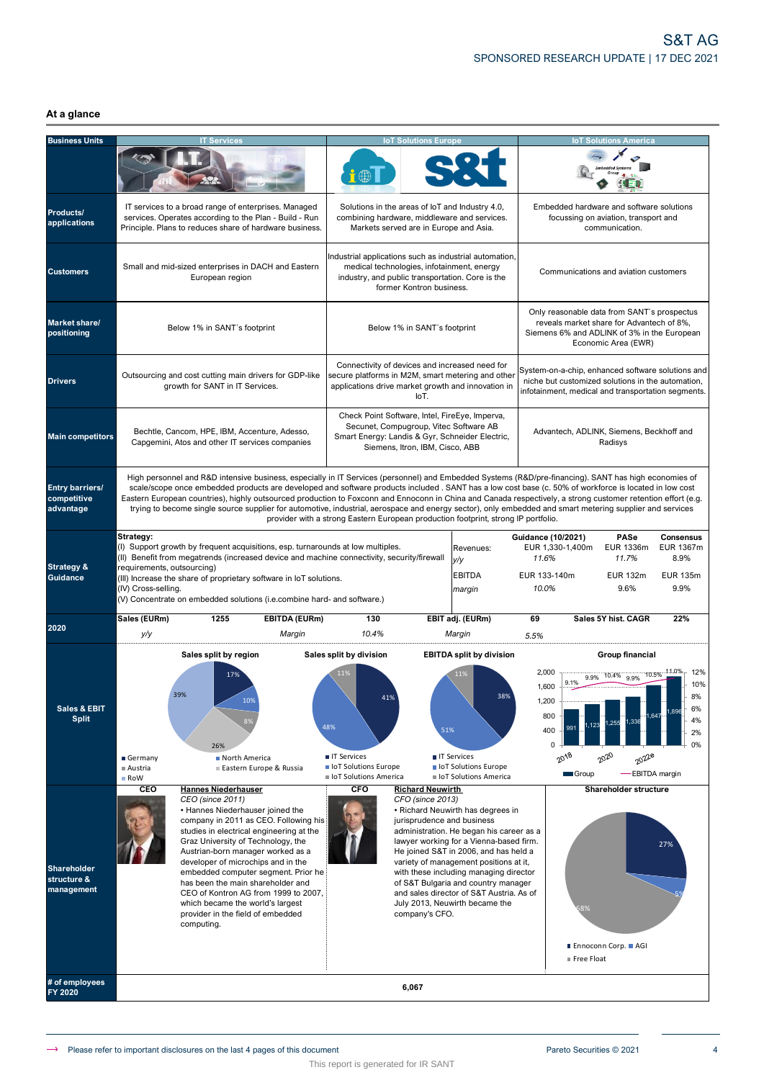## **At a glance**

| <b>Business Units</b>                              | <b>IT Services</b>                                                                                                                                                                                                                                                                                                                                                                                                                                                                                                                                                                                                                          |                                                                                                                                                                                                                                                                                                                                                                                                                                     |                                                                                                                  | <b>IoT Solutions Europe</b>                                                                                                                                                          |                                                                                                                                                                                                                                                                                                                                                                            |                                                                                                         | <b>IoT Solutions America</b>                                                                                                                                   |                                                                                         |
|----------------------------------------------------|---------------------------------------------------------------------------------------------------------------------------------------------------------------------------------------------------------------------------------------------------------------------------------------------------------------------------------------------------------------------------------------------------------------------------------------------------------------------------------------------------------------------------------------------------------------------------------------------------------------------------------------------|-------------------------------------------------------------------------------------------------------------------------------------------------------------------------------------------------------------------------------------------------------------------------------------------------------------------------------------------------------------------------------------------------------------------------------------|------------------------------------------------------------------------------------------------------------------|--------------------------------------------------------------------------------------------------------------------------------------------------------------------------------------|----------------------------------------------------------------------------------------------------------------------------------------------------------------------------------------------------------------------------------------------------------------------------------------------------------------------------------------------------------------------------|---------------------------------------------------------------------------------------------------------|----------------------------------------------------------------------------------------------------------------------------------------------------------------|-----------------------------------------------------------------------------------------|
|                                                    |                                                                                                                                                                                                                                                                                                                                                                                                                                                                                                                                                                                                                                             |                                                                                                                                                                                                                                                                                                                                                                                                                                     |                                                                                                                  |                                                                                                                                                                                      |                                                                                                                                                                                                                                                                                                                                                                            |                                                                                                         |                                                                                                                                                                |                                                                                         |
| Products/<br>applications                          | IT services to a broad range of enterprises. Managed<br>services. Operates according to the Plan - Build - Run<br>Principle. Plans to reduces share of hardware business.                                                                                                                                                                                                                                                                                                                                                                                                                                                                   |                                                                                                                                                                                                                                                                                                                                                                                                                                     |                                                                                                                  | Solutions in the areas of loT and Industry 4.0,<br>combining hardware, middleware and services.<br>Markets served are in Europe and Asia.                                            |                                                                                                                                                                                                                                                                                                                                                                            |                                                                                                         | Embedded hardware and software solutions<br>focussing on aviation, transport and<br>communication.                                                             |                                                                                         |
| <b>Customers</b>                                   | Small and mid-sized enterprises in DACH and Eastern<br>European region                                                                                                                                                                                                                                                                                                                                                                                                                                                                                                                                                                      |                                                                                                                                                                                                                                                                                                                                                                                                                                     |                                                                                                                  | Industrial applications such as industrial automation,<br>medical technologies, infotainment, energy<br>industry, and public transportation. Core is the<br>former Kontron business. |                                                                                                                                                                                                                                                                                                                                                                            |                                                                                                         | Communications and aviation customers                                                                                                                          |                                                                                         |
| Market share/<br>positioning                       | Below 1% in SANT's footprint                                                                                                                                                                                                                                                                                                                                                                                                                                                                                                                                                                                                                |                                                                                                                                                                                                                                                                                                                                                                                                                                     |                                                                                                                  | Below 1% in SANT's footprint                                                                                                                                                         |                                                                                                                                                                                                                                                                                                                                                                            |                                                                                                         | Only reasonable data from SANT's prospectus<br>reveals market share for Advantech of 8%,<br>Siemens 6% and ADLINK of 3% in the European<br>Economic Area (EWR) |                                                                                         |
| <b>Drivers</b>                                     | Outsourcing and cost cutting main drivers for GDP-like<br>growth for SANT in IT Services.                                                                                                                                                                                                                                                                                                                                                                                                                                                                                                                                                   |                                                                                                                                                                                                                                                                                                                                                                                                                                     |                                                                                                                  | Connectivity of devices and increased need for<br>IoT.                                                                                                                               | secure platforms in M2M, smart metering and other<br>applications drive market growth and innovation in                                                                                                                                                                                                                                                                    | System-on-a-chip, enhanced software solutions and<br>infotainment, medical and transportation segments. | niche but customized solutions in the automation,                                                                                                              |                                                                                         |
| <b>Main competitors</b>                            | Bechtle, Cancom, HPE, IBM, Accenture, Adesso,<br>Capgemini, Atos and other IT services companies                                                                                                                                                                                                                                                                                                                                                                                                                                                                                                                                            |                                                                                                                                                                                                                                                                                                                                                                                                                                     |                                                                                                                  | Check Point Software, Intel, FireEye, Imperva,<br>Secunet, Compugroup, Vitec Software AB<br>Siemens, Itron, IBM, Cisco, ABB                                                          | Smart Energy: Landis & Gyr, Schneider Electric,                                                                                                                                                                                                                                                                                                                            |                                                                                                         | Advantech, ADLINK, Siemens, Beckhoff and<br>Radisys                                                                                                            |                                                                                         |
| <b>Entry barriers/</b><br>competitive<br>advantage | High personnel and R&D intensive business, especially in IT Services (personnel) and Embedded Systems (R&D/pre-financing). SANT has high economies of<br>scale/scope once embedded products are developed and software products included . SANT has a low cost base (c. 50% of workforce is located in low cost<br>Eastern European countries), highly outsourced production to Foxconn and Ennoconn in China and Canada respectively, a strong customer retention effort (e.g.<br>trying to become single source supplier for automotive, industrial, aerospace and energy sector), only embedded and smart metering supplier and services |                                                                                                                                                                                                                                                                                                                                                                                                                                     | provider with a strong Eastern European production footprint, strong IP portfolio.                               |                                                                                                                                                                                      |                                                                                                                                                                                                                                                                                                                                                                            |                                                                                                         |                                                                                                                                                                |                                                                                         |
| <b>Strategy &amp;</b><br><b>Guidance</b>           | Strategy:<br>(I) Support growth by frequent acquisitions, esp. turnarounds at low multiples.<br>II) Benefit from megatrends (increased device and machine connectivity, security/firewall<br>requirements, outsourcing)<br>(III) Increase the share of proprietary software in IoT solutions.<br>(IV) Cross-selling.<br>(V) Concentrate on embedded solutions (i.e.combine hard- and software.)                                                                                                                                                                                                                                             |                                                                                                                                                                                                                                                                                                                                                                                                                                     |                                                                                                                  |                                                                                                                                                                                      | Revenues:<br>y/y<br><b>EBITDA</b><br>margin                                                                                                                                                                                                                                                                                                                                | <b>Guidance (10/2021)</b><br>EUR 1,330-1,400m<br>11.6%<br>EUR 133-140m<br>10.0%                         | PASe<br>EUR 1336m<br>11.7%<br><b>EUR 132m</b><br>9.6%                                                                                                          | <b>Consensus</b><br><b>EUR 1367m</b><br>8.9%<br><b>EUR 135m</b><br>9.9%                 |
| 2020                                               | Sales (EURm)<br>1255<br>y/y                                                                                                                                                                                                                                                                                                                                                                                                                                                                                                                                                                                                                 | <b>EBITDA (EURm)</b><br>Margin                                                                                                                                                                                                                                                                                                                                                                                                      | 130<br>10.4%                                                                                                     |                                                                                                                                                                                      | EBIT adj. (EURm)<br>Margin                                                                                                                                                                                                                                                                                                                                                 | 69<br>5.5%                                                                                              | Sales 5Y hist, CAGR                                                                                                                                            | 22%                                                                                     |
| Sales & EBIT<br><b>Split</b>                       | Sales split by region<br>39%<br>26%<br>Germany<br>Austria<br>Row                                                                                                                                                                                                                                                                                                                                                                                                                                                                                                                                                                            | 109<br>North America<br>Eastern Europe & Russia                                                                                                                                                                                                                                                                                                                                                                                     | Sales split by division<br>11%<br>419<br>48%<br>■ IT Services<br>loT Solutions Europe<br>I IoT Solutions America | 51%                                                                                                                                                                                  | <b>EBITDA split by division</b><br>11%<br>38%<br><b>TE Services</b><br>loT Solutions Europe<br>loT Solutions America                                                                                                                                                                                                                                                       | 2,000<br>9.1%<br>1,600<br>1,200<br>800<br>991<br>400<br>$\Omega$<br>$20^{18}$<br>Group                  | Group financial<br>10.4% 9.9%<br>9.9%<br>1,255<br>123<br>2020<br>2022e                                                                                         | 12%<br>10.5% 11.0%<br>10%<br>8%<br>6%<br>.896<br>4%<br>2%<br>0%<br><b>EBITDA</b> margin |
| Shareholder<br>structure &<br>management           | CEO<br><b>Hannes Niederhauser</b><br>CEO (since 2011)<br>computing.                                                                                                                                                                                                                                                                                                                                                                                                                                                                                                                                                                         | • Hannes Niederhauser joined the<br>company in 2011 as CEO. Following his<br>studies in electrical engineering at the<br>Graz University of Technology, the<br>Austrian-born manager worked as a<br>developer of microchips and in the<br>embedded computer segment. Prior he<br>has been the main shareholder and<br>CEO of Kontron AG from 1999 to 2007,<br>which became the world's largest<br>provider in the field of embedded | CFO                                                                                                              | <b>Richard Neuwirth</b><br>CFO (since 2013)<br>jurisprudence and business<br>company's CFO.                                                                                          | • Richard Neuwirth has degrees in<br>administration. He began his career as a<br>lawyer working for a Vienna-based firm.<br>He joined S&T in 2006, and has held a<br>variety of management positions at it,<br>with these including managing director<br>of S&T Bulgaria and country manager<br>and sales director of S&T Austria. As of<br>July 2013, Neuwirth became the | 8%<br>Free Float                                                                                        | <b>Shareholder structure</b><br>■ Ennoconn Corp. ■ AGI                                                                                                         | 27%                                                                                     |
| # of employees<br><b>FY 2020</b>                   |                                                                                                                                                                                                                                                                                                                                                                                                                                                                                                                                                                                                                                             |                                                                                                                                                                                                                                                                                                                                                                                                                                     |                                                                                                                  | 6,067                                                                                                                                                                                |                                                                                                                                                                                                                                                                                                                                                                            |                                                                                                         |                                                                                                                                                                |                                                                                         |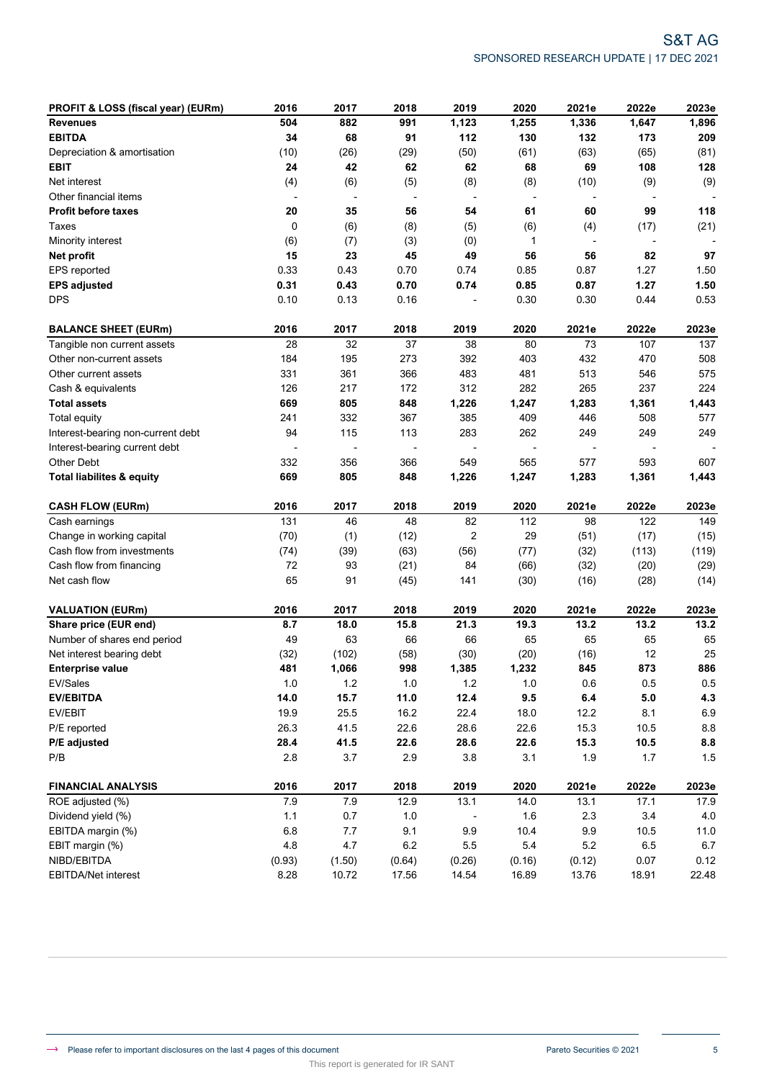| PROFIT & LOSS (fiscal year) (EURm)   | 2016         | 2017                     | 2018                     | 2019                     | 2020                     | 2021e                    | 2022e                    | 2023e   |
|--------------------------------------|--------------|--------------------------|--------------------------|--------------------------|--------------------------|--------------------------|--------------------------|---------|
| <b>Revenues</b>                      | 504          | 882                      | 991                      | 1,123                    | 1,255                    | 1,336                    | 1,647                    | 1,896   |
| <b>EBITDA</b>                        | 34           | 68                       | 91                       | 112                      | 130                      | 132                      | 173                      | 209     |
| Depreciation & amortisation          | (10)         | (26)                     | (29)                     | (50)                     | (61)                     | (63)                     | (65)                     | (81)    |
| <b>EBIT</b>                          | 24           | 42                       | 62                       | 62                       | 68                       | 69                       | 108                      | 128     |
| Net interest                         | (4)          | (6)                      | (5)                      | (8)                      | (8)                      | (10)                     | (9)                      | (9)     |
| Other financial items                | $\centerdot$ | $\overline{\phantom{a}}$ | $\overline{\phantom{a}}$ | $\overline{\phantom{a}}$ | $\overline{\phantom{a}}$ | $\overline{\phantom{a}}$ | $\overline{a}$           |         |
| Profit before taxes                  | 20           | 35                       | 56                       | 54                       | 61                       | 60                       | 99                       | 118     |
| Taxes                                | 0            | (6)                      | (8)                      | (5)                      | (6)                      | (4)                      | (17)                     | (21)    |
| Minority interest                    | (6)          | (7)                      | (3)                      | (0)                      | 1                        | $\overline{\phantom{a}}$ | $\overline{\phantom{a}}$ |         |
| Net profit                           | 15           | 23                       | 45                       | 49                       | 56                       | 56                       | 82                       | 97      |
| EPS reported                         | 0.33         | 0.43                     | 0.70                     | 0.74                     | 0.85                     | 0.87                     | 1.27                     | 1.50    |
| <b>EPS adjusted</b>                  | 0.31         | 0.43                     | 0.70                     | 0.74                     | 0.85                     | 0.87                     | 1.27                     | 1.50    |
| <b>DPS</b>                           | 0.10         | 0.13                     | 0.16                     |                          | 0.30                     | 0.30                     | 0.44                     | 0.53    |
| <b>BALANCE SHEET (EURm)</b>          | 2016         | 2017                     | 2018                     | 2019                     | 2020                     | 2021e                    | 2022e                    | 2023e   |
| Tangible non current assets          | 28           | 32                       | 37                       | 38                       | 80                       | 73                       | 107                      | 137     |
| Other non-current assets             | 184          | 195                      | 273                      | 392                      | 403                      | 432                      | 470                      | 508     |
| Other current assets                 | 331          | 361                      | 366                      | 483                      | 481                      | 513                      | 546                      | 575     |
| Cash & equivalents                   | 126          | 217                      | 172                      | 312                      | 282                      | 265                      | 237                      | 224     |
| <b>Total assets</b>                  | 669          | 805                      | 848                      | 1,226                    | 1,247                    | 1,283                    | 1,361                    | 1,443   |
| <b>Total equity</b>                  | 241          | 332                      | 367                      | 385                      | 409                      | 446                      | 508                      | 577     |
| Interest-bearing non-current debt    | 94           | 115                      | 113                      | 283                      | 262                      | 249                      | 249                      | 249     |
| Interest-bearing current debt        |              |                          |                          |                          |                          | $\overline{\phantom{a}}$ |                          |         |
| <b>Other Debt</b>                    | 332          | 356                      | 366                      | 549                      | 565                      | 577                      | 593                      | 607     |
| <b>Total liabilites &amp; equity</b> | 669          | 805                      | 848                      | 1,226                    | 1,247                    | 1,283                    | 1,361                    | 1,443   |
| <b>CASH FLOW (EURm)</b>              | 2016         | 2017                     | 2018                     | 2019                     | 2020                     | 2021e                    | 2022e                    | 2023e   |
| Cash earnings                        | 131          | 46                       | 48                       | 82                       | 112                      | 98                       | 122                      | 149     |
| Change in working capital            | (70)         | (1)                      | (12)                     | $\overline{2}$           | 29                       | (51)                     | (17)                     | (15)    |
| Cash flow from investments           | (74)         | (39)                     | (63)                     | (56)                     | (77)                     | (32)                     | (113)                    | (119)   |
| Cash flow from financing             | 72           | 93                       | (21)                     | 84                       | (66)                     | (32)                     | (20)                     | (29)    |
| Net cash flow                        | 65           | 91                       | (45)                     | 141                      | (30)                     | (16)                     | (28)                     | (14)    |
| <b>VALUATION (EURm)</b>              | 2016         | 2017                     | 2018                     | 2019                     | 2020                     | 2021e                    | 2022e                    | 2023e   |
| Share price (EUR end)                | 8.7          | 18.0                     | 15.8                     | 21.3                     | 19.3                     | 13.2                     | 13.2                     | 13.2    |
| Number of shares end period          | 49           | 63                       | 66                       | 66                       | 65                       | 65                       | 65                       | 65      |
| Net interest bearing debt            | (32)         | (102)                    | (58)                     | (30)                     | (20)                     | (16)                     | 12                       | 25      |
| <b>Enterprise value</b>              | 481          | 1,066                    | 998                      | 1,385                    | 1,232                    | 845                      | 873                      | 886     |
| EV/Sales                             | $1.0\,$      | 1.2                      | 1.0                      | $1.2$                    | 1.0                      | 0.6                      | $0.5\,$                  | $0.5\,$ |
| <b>EV/EBITDA</b>                     | 14.0         | 15.7                     | 11.0                     | 12.4                     | 9.5                      | 6.4                      | $5.0\,$                  | 4.3     |
| EV/EBIT                              | 19.9         | 25.5                     | 16.2                     | 22.4                     | 18.0                     | 12.2                     | 8.1                      | 6.9     |
| P/E reported                         | 26.3         | 41.5                     | 22.6                     | 28.6                     | 22.6                     | 15.3                     | 10.5                     | 8.8     |
| P/E adjusted                         | 28.4         | 41.5                     | 22.6                     | 28.6                     | 22.6                     | 15.3                     | 10.5                     | 8.8     |
| P/B                                  | 2.8          | $3.7\,$                  | 2.9                      | 3.8                      | 3.1                      | 1.9                      | 1.7                      | 1.5     |
| <b>FINANCIAL ANALYSIS</b>            | 2016         | 2017                     | 2018                     | 2019                     | 2020                     | 2021e                    | 2022e                    | 2023e   |
| ROE adjusted (%)                     | 7.9          | 7.9                      | 12.9                     | 13.1                     | 14.0                     | 13.1                     | 17.1                     | 17.9    |
| Dividend yield (%)                   | 1.1          | 0.7                      | 1.0                      |                          | 1.6                      | 2.3                      | 3.4                      | 4.0     |
| EBITDA margin (%)                    | 6.8          | 7.7                      | 9.1                      | 9.9                      | 10.4                     | 9.9                      | 10.5                     | 11.0    |
| EBIT margin (%)                      | 4.8          | 4.7                      | $6.2\,$                  | $5.5\,$                  | $5.4\,$                  | 5.2                      | 6.5                      | 6.7     |
|                                      |              |                          |                          |                          |                          |                          |                          |         |
| NIBD/EBITDA                          | (0.93)       | (1.50)                   | (0.64)                   | (0.26)                   | (0.16)                   | (0.12)                   | 0.07                     | 0.12    |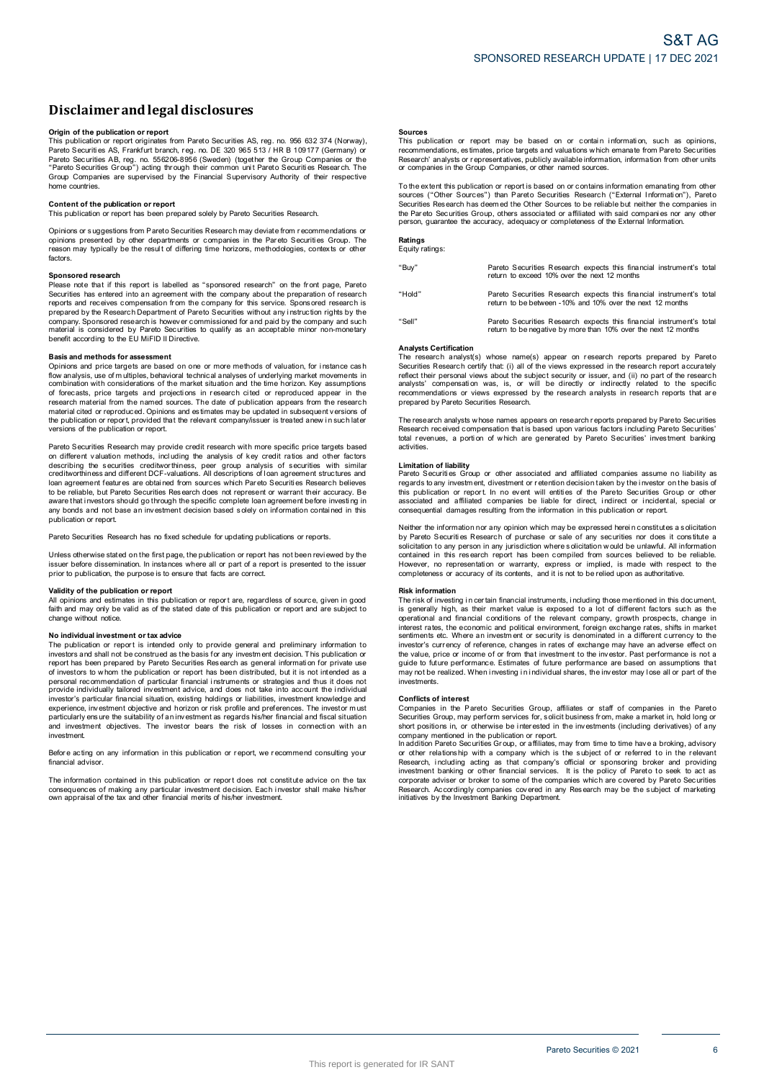# **Disclaimerandlegal disclosures Disclaimer and legal disclosures<br>Origin of the publication or report<br>This publication or report originates from Pareto Securities AS, reg. no. 956 632 374 (Norway),**

**DISCIAIMET AND LEGAL DISCIOSUTES**<br>Prigin of the publication or report<br>This publication or report orginates from Pareto Securities AS, reg. no. 956 632 374 (Norway)<br>Pareto Securities AS, Frankfurt branch, reg. no. DE 320 9 Pareto Securities AB, reg. no. 556206-8956 (Sweden) (together the Group Companies or the **Origin of the publication or report**<br>This publication or report originates from Pareto Securities AS, reg. no. 956 632 374 (Norway)<br>Pareto Securities AS, Frankfurt branch, reg. no. DE 320 965 513 / HR B 109177 (Germany) o home countries. **Content of the publication or report**<br> **Content of the publication or report**<br> **Content of the publication or report**<br> **Content of the publication or report**<br> **This publication or report**<br> **This publication or report**<br> **C** 

Content of the publication or report<br>This publication or report has been prepared solely by Pareto Securities Research.<br>Opinions or suggestions from Pareto Securities Research may deviate from recommendations or Content of the publication or report<br>This publication or report has been prepared solely by Pareto Securities Research.<br>Opinions or suggestions from Pareto Securities Research may deviate from recommendations or<br>perinons p factors.

#### **Sponsored research**

Please note that if this report is labelled as "sponsored research" on the front page, Pareto Factors.<br> **Sponsored research**<br>
Please note that if this report is labelled as "sponsored research" on the front page, Pareto<br>
Securities has entered into an agreement with the company about the preparation of research<br>
re prepare a price to none or more than the company. Sponsored research is however commissioned for and paid by the company and such material is considered by Pareto Securities to qualify as an acceptable minor non-monetary b

**Basis and methods for assessment**<br>Opinions and price targets are based on one or more methods of valuation, for instance cash flow analysis, use of m ultiples, behavioral technical analyses o f underlying market movements i n Basis and methods for assessment<br>Opinions and price targets are based on one or more methods of valuation, for instance cash<br>flow analysis, use of multiples, behavioral technical analyses of underlying market movements in<br> research material from the named sources. The date of publication appears from the research material cited or reproduced. Opinions and estimates may be updated in subsequent versions of the publication or report, provided Finance and the publications of the market isluation and the time horizon. Key assumptions combination with considerations of the market situation and the time horizon. Key assumptions of ofroecasts, price targets and proj versions of the publication or report.

Pareto Securities Research may provide credit research with more specific price targets based on different valuation methods, incl uding the analysis of key credit ratios and other factors Persions of the publication or report.<br>Pareto Securities Research may provide credit research with more specific price targets based<br>on different valuation methods, including the analysis of key credit ratios and other fac publication or report.

Pareto Securities Research has no fixed schedule for updating publications or reports.

publication or report.<br>Pareto Securities Research has no fixed schedule for updating publications or reports.<br>Unless otherwise stated on the first page, the publication or report has not been reviewed by the<br>issuer before Unless otherwise stated on the first processue before dissemination. In instand<br>prior to publication, the purpose is to<br>**Validity of the publication or report**<br>All opinions and estimates in this put

Sissuer before dissemination. In instances where all or part of a report is presented to the issuer<br>prior to publication, the purpose is to ensure that facts are correct.<br>**Validity of the publication or report**<br>All opinion change without notice. **N optimize that the publication or report are, regardless of source, given in good<br>faith and may only be valid as of the stated date of this publication or report and are subject to<br>change without notice.<br>The publication** 

in the publication or report is interded only to provide general and preliminary information to the publication or report is interded only to provide general and preliminary information to investors and shall not be constr No individual investment or tax advice<br>The publication or report is intended only to provide general and preliminary information to<br>investors and shall not be construed as the basis for any investment decision. This public or investor is married to mental instruments or strategies and thus it does not provide individually tailored investment advice, and does not take into account the individual<br>investor's particular financial situation, exis investment. expericularly ensure the suitability of an investment as regards his/her financial and fiscal situation<br>and investment objectives. The investor bears the risk of losses in connection with an<br>investment.<br>Before acting on an

financial advisor. Before acting on any information in this publication or report, we recommend consulting your<br>financial advisor.<br>The information contained in this publication or report does not constitute advice on the tax

Before acting on any information in this publication or report, we recommend consulting your<br>financial advisor.<br>Consequences of making any particular investment decision. Each investor shall make his/her<br>consequences of ma

#### **Sources**

**Sources**<br>This publication or report may be based on or contain information, such as opinions,<br>recommendations, estimates, price targets and valuations which emanate from Pareto Securities<br>Research' analysts or representat **Sources**<br>This publication or report may be based on or contain<br>recommendations, estimates, price targets and valuations which<br>Research' analysts or representatives, publicly available informa<br>or companies in the Group Com The extent this publication or report is based on or contains which emanate from Pareto Securities<br>
Research' analysts or representatives, publicly available information, information from other units<br>
or companies in the G

To the extent this publication or report is based on or contains information emanating from other<br>Sources ("Other Sources") than Pareto Securities Research ("External Information"), Pareto<br>Securities Research has deem ed t the extent this publication or report is based on or contains information emanating from other<br>sources ("Other Sources") than Pareto Securities Research ("External Information"), Pareto<br>Securities Research has deem ed the

## **Ratings** Equity ratings:

"Buy" Pareto Securities Research expects this financial instrument's total return to exceed 10% over the next 12 months "Hold" Pareto Securities Research expects this financial instrument's total Pareto Securities Research expects this financial instrume<br>return to exceed 10% over the next 12 months<br>Pareto Securities Research expects this financial instrume<br>return to be between -10% and 10% over the next 12 months "Sell" Pareto Securities Research expects this financial instrument's total Pareto Securities Research expects this financial instrument's<br>return to be between -10% and 10% over the next 12 months<br>Pareto Securities Research expects this financial instrument's<br>return to be negative by more than 10%

#### **Analysts Certification**

The research analyst(s) whose name(s) appear on research reports prepared by Pareto Securities Research certify that: (i) all of the views expressed in the research report accurately reflect their personal views about the subject security or issuer, and (ii) no part of the research Analysts Certification<br>The research analyst(s) whose name(s) appear on research reports prepared by Pareto<br>Securities Research certify that (i) all of the views expressed in the research report accurately<br>reflect their per The research analysts worker assumes appears on research analysts in research reports that are prepared by Pareto Securities Research.<br>The research received compensation that is based upon various factors including Pareto

The research analysts whose names appears on research reports prepared by Pareto Securities.<br>The research analysts whose names appears on research reports prepared by Pareto Securities.<br>Research received compensation that activities. **Limitation**<br>**Research received** contains the field of the activities.<br>**Limitation of liability**<br>**Pareto Securities** Gr

In the control of the second of which are generated by Pareto Securities' investment banking<br>activities.<br>Limitation of liability<br>Pareto Securities Group or other associated and affiliated companies assume no liability as<br>r

regions to any investment, any cover will entitle and Pareto Securities Group or other<br>this publication or report. In no event will entitle as of the Pareto Securities Group or other<br>associated and affiliated companies be completeness or accuracy of its contents, and it is not to be reliefed upon as authoritation contained in this research report has been compiled from sources believed to be reliable.<br>However, no representation or warranty,

#### **Risk information**

However, no representation or warranty, express or implied, is made with respect to the<br>completeness or accuracy of its contents, and it is not to be relied upon as authoritative.<br> **Risk information**<br>
The risk of investing inversional and financial conditions of the relevant company, growth prospects, change in interest rates, the economic and political environment, foreign exchange rates, shifts in market sentiments etc. Where an investor's the value of or income of the relevant company, growth prospects, change in<br>interest rates, the economic and political environment, foreign exchange rates, shifts in market<br>sentiments etc. Where an investment or security i marious, it we consider the realized in a different currency to the investor's currency of reference, changes in rates of exchange may have an adverse effect on the value, price or income of or from that investment to the investments. **Conflicts c** finds the final may not be realized.<br> **Conflicts of interest**<br> **Conflicts of interest**<br> **Conflicts of interest** 

may not be realized. When investing in individual shares, the investor may lose all or part of the<br>investments.<br>**Conflicts of interest**<br>Companies in the Pareto Securities Group, affiliates or staff of companies in the Pare short positions in, or otherwise be interested in the investments (including derivatives) of any company mentioned in the publication or report.<br>In addition Pareto Securities Group, or affiliates, may from time to time hav

short positions in, or otherwise be interested in the investments (including derivatives) of any<br>short positions in, or otherwise be interested in the investments (including derivatives) of any<br>company mentioned in the pub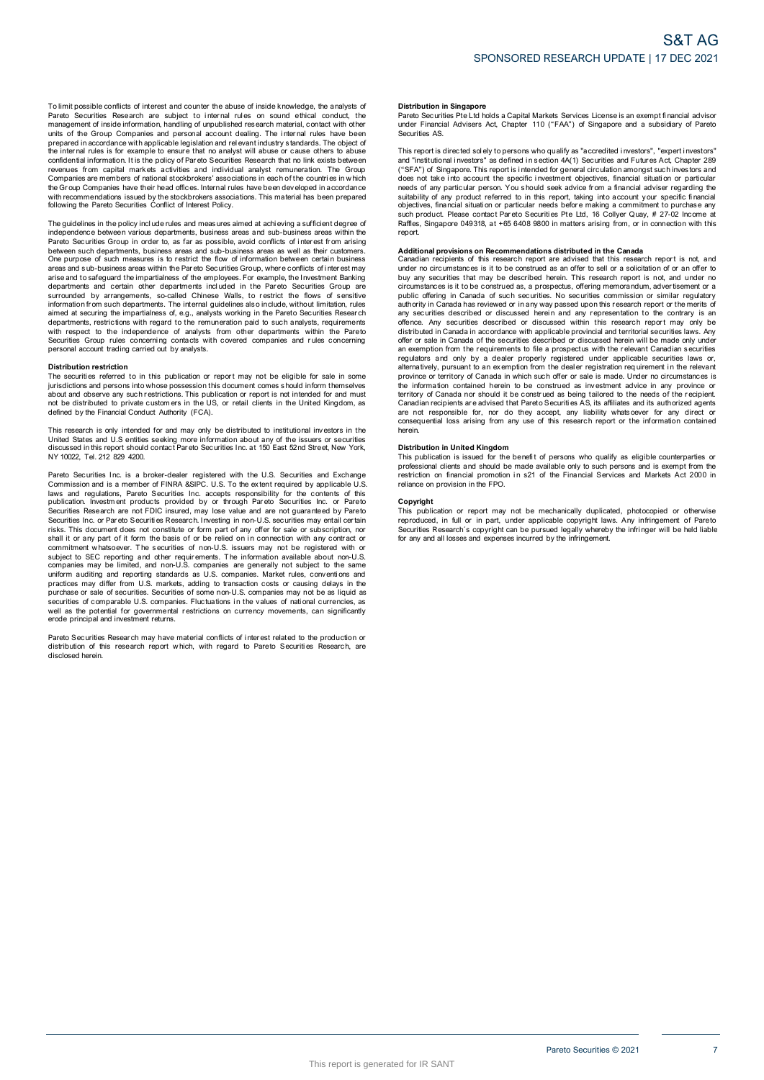To limit possible conflicts of interest and counter the abuse of inside knowledge, the analysts of<br>Pareto Securities Research are subject to internal rules on sound ethical conduct, the<br>management of inside information, ha To limit possible conflicts of interest and counter the abuse of inside knowledge, the analysts of Pareto Securities Research are subject to internal rules on sound ethical conduct, the management of inside information, ha revenues from capital markets activities and individual analyst remuneration. The Group and or the Chapter of the price with applicable legislation and relevant industry standards. The object of the internal rules is for example to ensure that no analyst will abuse or cause others to abuse the internal rules following the Pareto Securities Conflict of Interest Policy. The guidelines in the policy include the social conducts in the proportion of the proportion and the proportion with recommendations issued by the stockbrokers associations. This material has been prepared following the Pa

independence between various departments, business areas and sub-business areas within the<br>Pareto Securities Group in order to, as far as possible, avoid conflicts of interest from arising Will recommitmeduate of social conflict of Interest Policy.<br>The guidelines in the policy include rules and measures aimed at achieving a sufficient degree of<br>independence between various departments, business areas and sub between such departments, business areas and sub-business areas as well as their customers. The guidelines in the policy include rules and measures aimed at achieving a sufficient degree of independence between various departments, business areas and sub-business areas within the between such departments, busines Pareto Securities Group in order to, as far as possible, avoid conflicts of interest from arising<br>between such departments, business areas and sub-business areas as well as their customers.<br>One purpose of such measures is arias and to safeguard the impartialness of the employees. For example, the linvestment Banking departments and certain other departments included in the Pareto Securities Group are surrounded by arrangements, so-called Ch with respect to the independence of analysts from other departments within the Pareto Securities Group rules Group rules Concerning in the Companies of the concerning of the contact without limitation, rules aimed at securiting the impartialness of, e.g., analysts working in the Pareto Securities Research d The securities Group rules concerning contacts with covered companies and rules concerning<br>personal account trading carried out by analysts.<br>The securities referred to in this publication or report may not be eligible for

#### **Distribution restriction**

For the second account trading carried out by analysts.<br> **Distribution restriction**<br>
The securities referred to in this publication or report may not be eligible for sale in some<br>
pirisdictions and persons into whose posse Distribution restriction<br>The securities referred to in this publication or report may not be eligible for sale in some<br>initial citios referred to in this publication or report may not be eligible for sale in some<br>initial c This research is only intended for and music possession institutional intended for and must<br>not be distributed to private customers in the US, or retail clients in the United Kingdom, as<br>defined by the Financial Conduct Au

United States and U.S entities seeking more information about any of the issuers or securities Note that the instant of the mandel of the state of the state of the distributed in the office and goal in the contact Par eto Securities Inc. at 150 East 52nd Street, New York, NY 10022, Tel. 212 829 4200. Pareto Securities Inc. is a broker-dealer registered with the U.S. Securities and U.S entities seking more information about any of the issuers or securities discussed in this report should contact Pareto Securities Inc. a

COLOGIC INTERTATION COMMISSION AND INTERTATION CONTROL INTERTATIONS IN THE SECOND PAPER OF THE SECOND PAPER OF THE U.S. Securities and Exchange Commission and is a member of FINRA &SIPC. U.S. To the extent required by appl laws and regulations, Pareto Securities Inc. accepts responsibility for the contents of this Pareto Securities Inc. is a broker-dealer registered with the U.S. Securities and Exchange<br>Commission and is a member of FINRA &SIPC. U.S. To the extent required by applicable U.S<br>Idward and is a member of FINRA &SIPC. U.S Securities Research are not FDIC insured, may lose value and are not guaranteed by Pareto<br>Securities Research are not FDIC insured, may lose value and are not guaranteed by Pareto<br>securities Inc. or Pareto Securities Resea Ishall it or any part of it form the basis of or be relied on in connection with any contract or<br>shall it or any part of it form the basis of or be relied on in connection with any contract or<br>subject to SEC reporting and securities of comparies may be limited, and non-U.S. companies are generally not subject to the same<br>uniform auditing and reporting standards as U.S. companies. Market rules, conventions and<br>practices may differ form U.S. erode principal and investment returns. Pareto Securities of comparable U.S. comparies. Fluctuations in the values of rational currencies, as<br>well as the potential for governmental restrictions on currency movements, can significantly<br>erode principal and investm

disclosed herein.

#### **Distribution in Singapore**

Distribution in Singapore<br>Pareto Securities Pte Ltd holds a Capital Markets Services License is an exempt financial advisor<br>under Financial Advisers Act, Chapter 110 ("FAA") of Singapore and a subsidiary of Pareto under Financial Advisers Act, Chapter 110 ("FAA") of Singapore and a subsidiary of Pareto Securities AS. Pareto Securities Pte Ltd holds a Capital Markets Services License is an exempt financial advisor<br>under Financial Advisers Act, Chapter 110 ("FAA") of Singapore and a subsidiary of Pareto<br>Securities AS.<br>This report is dire

ration contains and a subsidiary of Parent uncertained solutions and a subsidiary of Parent<br>securities AS.<br>This report is directed solely to persons who qualify as "accredited investors", "expert investors"<br>and "institutio and "institutional investors" as defined in section 4A(1) Securities and Futures Act, Chapter 289<br>("SFA") of Singapore. This report is intended for general circulation amongst such investors and<br>("SFA") of Singapore. This report.

such product. Please contact Pareto Securities Pte Ltd, 16 Collyer Quay, # 27-02 Income at Raffles, Singapore 049318, at +65 6408 9800 in matters arising from, or in connection with this report.<br> **Additional provisions on** Public of this research report are advised that this research report is not, and<br>canadian recipients of this research report are advised that this research report is not, and under no<br>circumstances is it to be construed as and a by any securities that may be described herein. This research report is not, and under no<br>buy any securities that may be described herein. This research report is not, and under no<br>circumstances is it to be construed any socialized or discussed within this research report may only be<br>distributed in Canada in accordance with applicable provincial and territorial securities laws. Any<br>offer or sale in Canada of the securities described or province or territory of Canada in which such offer or sale is made. Under no circumstances is<br>the information contained herein to be construed as being tailored to the needs of the recipient.<br>Carritory of Canada nor shoul province or territory of Canada in which such offer or sale is made. Under no circumstances is the information contained herein to be construed as being tailored to the needs of the recipient. Canadian recipients are advis herein.

#### **Distribution in United Kingdom**

are not responsible to the information contained<br>consequential loss arising from any use of this research report or the information contained<br>herein.<br>**Distribution in United Kingdom**<br>This publication is issued for the bene professional clients and should be made available only to such persons and is exempt from the restriction on financial promotion in s21 of the Financial Services and Markets Act 2000 in reliance on provision in the FPO.<br>Co

#### **Copyright**

reliance on provision in the FPO.<br> **Copyright**<br>
This publication or report may not be mechanically duplicated, photocopied or otherwise<br>
reproduced, in full or in part, under applicable copyright laws. Any infringement of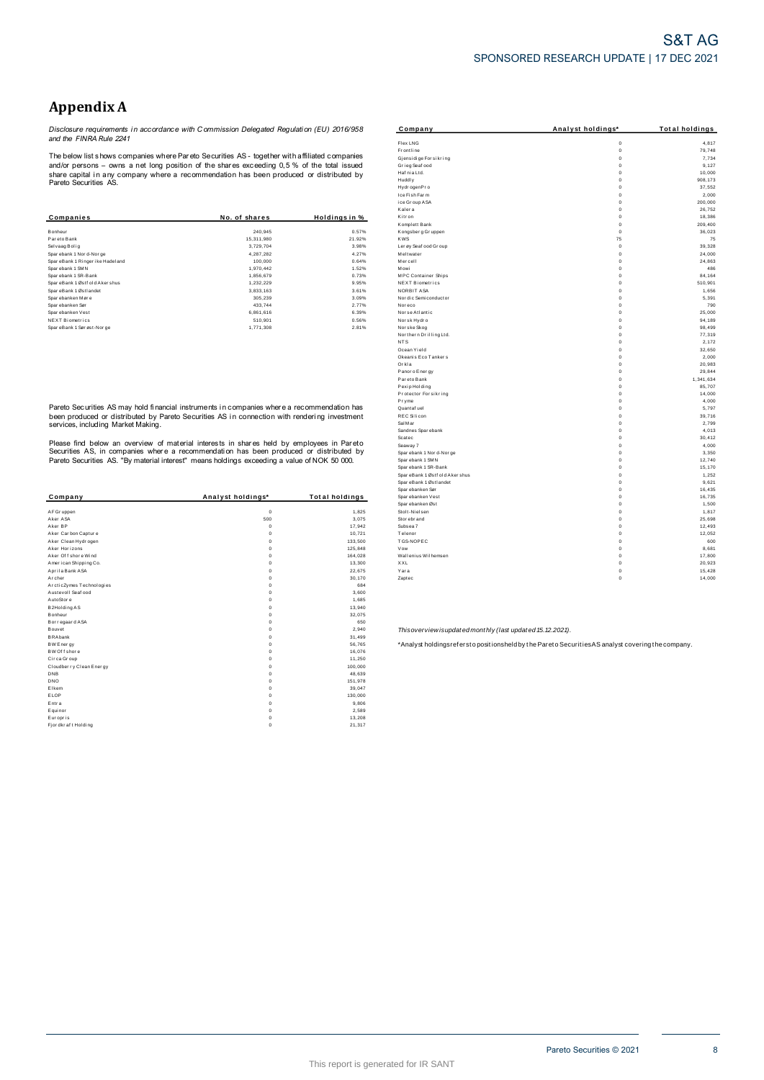## **Appendix A**

Disclosure requirements in accordance with Commission Delegated Regulation (EU) 2016/958<br>and the FINRA Rule 2241

The below list shows companies where Pareto Securities AS - together with affiliated companies The better that and do persons - comparises write Prat ato Securities AS - together with annihilated comparies<br>share capital in any company where a recommendation has been produced or distributed by<br>Pareto Securities AS.

| Companies                        | No. of shares | Holdings in % |
|----------------------------------|---------------|---------------|
|                                  |               |               |
| <b>Bonheur</b>                   | 240.945       | 0.57%         |
| Par eto Bank                     | 15.311.980    | 21.92%        |
| Selvaag Bolig                    | 3.729.704     | 3.98%         |
| Spar ebank 1 Nor d-Nor ge        | 4.287.282     | 4.27%         |
| SpareBank 1 Ringer ike Hadel and | 100.000       | 0.64%         |
| Sparebank 1 SMN                  | 1.970.442     | 1.52%         |
| Sparebank 1 SR-Bank              | 1.856.679     | 0.73%         |
| SpareBank 1 Østf old Akershus    | 1.232.229     | 9.95%         |
| SpareBank 1 Østlandet            | 3.833.163     | 3.61%         |
| Sparebanken Møre                 | 305.239       | 3.09%         |
| Spar ebanken Sør                 | 433.744       | 2.77%         |
| Sparebanken Vest                 | 6.861.616     | 6.39%         |
| <b>NEXT Biometrics</b>           | 510.901       | 0.56%         |
| SpareBank 1 Sør øst-Nor ge       | 1.771.308     | 2.81%         |

Pareto Securities AS may hold financial instruments in companies where a recommendation has The contractor of distributed by Pareto Securities. This companies where a recommendator has been produced or distributed by Pareto Securities AS in connection with rendering investment services, including Market Making.

Please find below an overview of material interests in shares held by employees in Pareto<br>Securities AS, in companies where a recommendation has been produced or distributed by<br>Pareto Securities AS. "By material interest"

| Company                  | Analyst holdings* | <b>Total holdings</b> |
|--------------------------|-------------------|-----------------------|
|                          |                   |                       |
| AF Gr uppen              | $\mathbf 0$       | 1,825                 |
| Aker ASA                 | 500               | 3,075                 |
| Aker BP                  | $^{\circ}$        | 17,942                |
| Aker Carbon Capture      | $\Omega$          | 10,721                |
| Aker Clean Hydrogen      | 0                 | 133,500               |
| Aker Horizons            | 0                 | 125,848               |
| Aker Offshore Wind       | 0                 | 164,028               |
| American Shipping Co.    | 0                 | 13,300                |
| Aprila Bank ASA          | 0                 | 22,675                |
| Archer                   | 0                 | 30.170                |
| ArcticZymes Technologies | $\Omega$          | 684                   |
| Austevoll Seaf ood       | $\Omega$          | 3,600                 |
| AutoStore                | 0                 | 1.685                 |
| B2Holding AS             | 0                 | 13,940                |
| Bonheur                  | 0                 | 32,075                |
| Bor regaar d ASA         | 0                 | 650                   |
| Bouvet                   | $\Omega$          | 2,940                 |
| <b>BRAbank</b>           | $\Omega$          | 31,499                |
| <b>BW Energy</b>         | 0                 | 56,765                |
| BW Of f shore            | 0                 | 16,076                |
| Circa Group              | 0                 | 11,250                |
| Cloudber ry Clean Energy | $\mathbf 0$       | 100.000               |
| <b>DNB</b>               | 0                 | 48,639                |
| <b>DNO</b>               | 0                 | 151,978               |
| Elkem                    | $\mathbf 0$       | 39,047                |
| ELOP                     | 0                 | 130,000               |
| Entra                    | 0                 | 9,806                 |
| Equinor                  | 0                 | 2,589                 |
| Europris                 | 0                 | 13,208                |
| Fj or dkr af t Holding   | $\mathbf 0$       | 21,317                |

| Company                                | Analyst holdings*          | <b>Total holdings</b> |
|----------------------------------------|----------------------------|-----------------------|
| Flex LNG                               | $\mathbf 0$                | 4.817                 |
| <b>Frontline</b>                       | $\mathbf 0$                | 79,748                |
| Gjensidige For sikring                 | $\mathbf 0$                | 7.734                 |
| Grieg Seaf ood                         | $\mathbf 0$                | 9,127                 |
| Haf nia Ltd.                           | $\mathbf 0$                | 10,000                |
| Huddly                                 | $\mathbf 0$                | 908, 173              |
| Hydr ogenPr o                          | $\mathbf 0$                | 37.552                |
| Ice Fish Farm                          | $\mathbf 0$                | 2,000                 |
| ice Group ASA                          | $\mathbf 0$                | 200.000               |
| Kalera                                 | $\mathbf 0$                | 26.752                |
| Kitr on                                | $\mathbf 0$                | 18,386                |
| Komplett Bank                          | $\mathbf 0$                | 209,400               |
| Kongsberg Gruppen                      | $\mathbf 0$                | 36,023                |
| <b>KWS</b>                             | 75                         | 75                    |
| Ler øy Seaf ood Gr oup                 | $\mathbf 0$                | 39,328                |
| Meltwater                              | $\mathbf 0$<br>$\mathbf 0$ | 24,000                |
| Mercell                                |                            | 24.863                |
| Mowi                                   | 0                          | 486<br>84,164         |
| MPC Container Ships<br>NEXT Biometrics | $\mathbf 0$<br>$\mathbf 0$ | 510,901               |
| NORBIT ASA                             | $\mathbf 0$                | 1,656                 |
| Nor dic Semiconductor                  | $\mathbf 0$                | 5,391                 |
| Nor eco                                | $\mathbf 0$                | 790                   |
| Nor se Atlantic                        | $\mathbf 0$                | 25,000                |
| Norsk Hydro                            | $\mathbf 0$                | 94,189                |
| Norske Skog                            | $\mathbf 0$                | 98,499                |
| Northern Drilling Ltd.                 | $\mathbf 0$                | 77.319                |
| NT <sub>S</sub>                        | 0                          | 2,172                 |
| Ocean Yield                            | $\mathbf 0$                | 32,650                |
| Okeanis Eco Tankers                    | $\mathbf 0$                | 2.000                 |
| Orkla                                  | $\mathbf 0$                | 20,983                |
| Panor o Ener gy                        | $\mathbf 0$                | 29,844                |
| Par eto Bank                           | $\mathbf 0$                | 1,341,634             |
| Pexip Holding                          | $\mathbf 0$                | 85.707                |
| Protector Forsikring                   | $\mathbf 0$                | 14,000                |
| Pryme                                  | $\mathbf 0$                | 4,000                 |
| Quantaf uel                            | $\mathbf 0$                | 5,797                 |
| <b>REC Silicon</b>                     | $\mathbf 0$                | 39.716                |
| Sal M ar                               | 0                          | 2,799                 |
| Sandnes Spar ebank                     | $\mathbf 0$                | 4.013                 |
| Scatec                                 | $\mathbf 0$                | 30.412                |
| Seaway 7                               | $\mathbf 0$                | 4,000                 |
| Spar ebank 1 Nor d-Nor ge              | $\mathbf 0$                | 3,350                 |
| Spar ebank 1 SMN                       | $\mathbf 0$                | 12.740                |
| Spar ebank 1 SR-Bank                   | $\mathbf 0$                | 15,170                |
| SpareBank 1 Østf old Akershus          | $\mathbf 0$                | 1,252                 |
| Spar eBank 1 Østl andet                | $\mathbf 0$<br>$\mathbf 0$ | 9,621                 |
| Spar ebanken Sør                       |                            | 16.435                |
| Spar ebanken Vest                      | 0                          | 16,735                |
| Spar ebanken Øst<br>Stolt-Nielsen      | $\mathbf 0$<br>$\mathbf 0$ | 1,500<br>1,817        |
| Stor ebr and                           | $\mathbf 0$                | 25,698                |
| Subsea 7                               | $\mathbf 0$                | 12,493                |
| Telenor                                | $\mathbf 0$                | 12,052                |
| TGS-NOPEC                              | $\mathbf 0$                | 600                   |
| Vow                                    | $\mathbf 0$                | 8,681                 |
| Wallenius Wilhemsen                    | $\mathbf 0$                | 17,800                |
| <b>XXL</b>                             | $\mathbf 0$                | 20,923                |
| Yara                                   | 0                          | 15,428                |
| Zaptec                                 | $\mathbf 0$                | 14,000                |
|                                        |                            |                       |

Thisoverview is updated monthly (last updated 15.12.2021).

\*Analyst holdings refersto positionsheld by the Pareto Securities AS analyst covering the company.